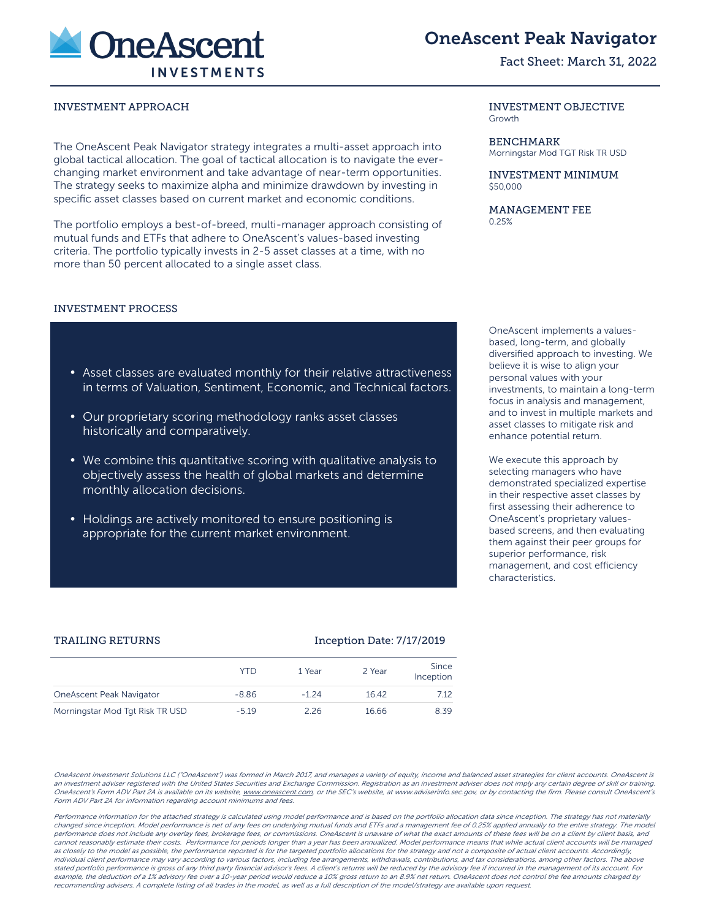

# OneAscent Peak Navigator

## Fact Sheet: March 31, 2022

#### INVESTMENT APPROACH INVESTMENT OBJECTIVE

The OneAscent Peak Navigator strategy integrates a multi-asset approach into global tactical allocation. The goal of tactical allocation is to navigate the everchanging market environment and take advantage of near-term opportunities. The strategy seeks to maximize alpha and minimize drawdown by investing in specific asset classes based on current market and economic conditions.

The portfolio employs a best-of-breed, multi-manager approach consisting of mutual funds and ETFs that adhere to OneAscent's values-based investing criteria. The portfolio typically invests in 2-5 asset classes at a time, with no more than 50 percent allocated to a single asset class.

## INVESTMENT PROCESS

- Asset classes are evaluated monthly for their relative attractiveness in terms of Valuation, Sentiment, Economic, and Technical factors.
- Our proprietary scoring methodology ranks asset classes historically and comparatively.
- We combine this quantitative scoring with qualitative analysis to objectively assess the health of global markets and determine monthly allocation decisions.
- Holdings are actively monitored to ensure positioning is appropriate for the current market environment.

Growth

BENCHMARK Morningstar Mod TGT Risk TR USD

INVESTMENT MINIMUM \$50,000

MANAGEMENT FEE 0.25%

OneAscent implements a valuesbased, long-term, and globally diversified approach to investing. We believe it is wise to align your personal values with your investments, to maintain a long-term focus in analysis and management, and to invest in multiple markets and asset classes to mitigate risk and enhance potential return.

We execute this approach by selecting managers who have demonstrated specialized expertise in their respective asset classes by first assessing their adherence to OneAscent's proprietary valuesbased screens, and then evaluating them against their peer groups for superior performance, risk management, and cost efficiency characteristics.

|                                 | YTD     | 1 Year  | 2 Year | Since<br>Inception |
|---------------------------------|---------|---------|--------|--------------------|
| OneAscent Peak Navigator        | $-8.86$ | $-1,24$ | 16.42  | 7.12               |
| Morningstar Mod Tgt Risk TR USD | $-5.19$ | 2 26    | 16.66  | 8.39               |

OneAscent Investment Solutions LLC ("OneAscent") was formed in March 2017, and manages a variety of equity, income and balanced asset strategies for client accounts. OneAscent is an investment adviser registered with the United States Securities and Exchange Commission. Registration as an investment adviser does not imply any certain degree of skill or training. OneAscent's Form ADV Part 2A is available on its website, www.oneascent.com or the SEC's website, at www.adviserinfo.sec.gov, or by contacting the firm. Please consult OneAscent's Form ADV Part 2A for information regarding account minimums and fees.

Performance information for the attached strategy is calculated using model performance and is based on the portfolio allocation data since inception. The strategy has not materially changed since inception. Model performance is net of any fees on underlying mutual funds and ETFs and a management fee of 0.25% applied annually to the entire strategy. The model performance does not include any overlay fees, brokerage fees, or commissions. OneAscent is unaware of what the exact amounts of these fees will be on a client by client basis, and cannot reasonably estimate their costs. Performance for periods longer than a year has been annualized. Model performance means that while actual client accounts will be managed as closely to the model as possible, the performance reported is for the targeted portfolio allocations for the strategy and not a composite of actual client accounts. Accordingly, individual client performance may vary according to various factors, including fee arrangements, withdrawals, contributions, and tax considerations, among other factors. The above stated portfolio performance is gross of any third party financial advisor's fees. A client's returns will be reduced by the advisory fee if incurred in the management of its account. For example, the deduction of a 1% advisory fee over a 10-year period would reduce a 10% gross return to an 8.9% net return. OneAscent does not control the fee amounts charged by recommending advisers. A complete listing of all trades in the model, as well as a full description of the model/strategy are available upon request.

#### TRAILING RETURNS **Inception Date: 7/17/2019**